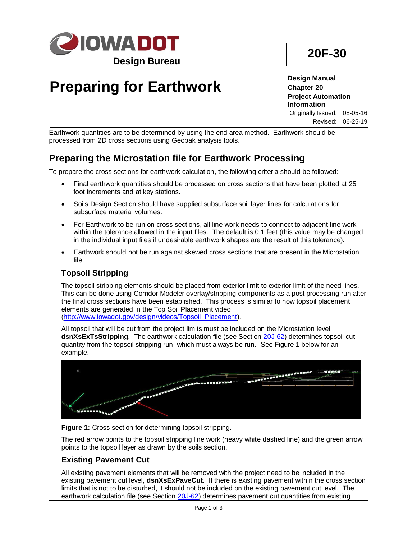

## **20F-30**

# **Preparing for Earthwork**

**Design Manual Chapter 20 Project Automation Information** Originally Issued: 08-05-16

Revised: 06-25-19

Earthwork quantities are to be determined by using the end area method. Earthwork should be processed from 2D cross sections using Geopak analysis tools.

## **Preparing the Microstation file for Earthwork Processing**

To prepare the cross sections for earthwork calculation, the following criteria should be followed:

- Final earthwork quantities should be processed on cross sections that have been plotted at 25 foot increments and at key stations.
- Soils Design Section should have supplied subsurface soil layer lines for calculations for subsurface material volumes.
- For Earthwork to be run on cross sections, all line work needs to connect to adjacent line work within the tolerance allowed in the input files. The default is 0.1 feet (this value may be changed in the individual input files if undesirable earthwork shapes are the result of this tolerance).
- Earthwork should not be run against skewed cross sections that are present in the Microstation file.

## **Topsoil Stripping**

The topsoil stripping elements should be placed from exterior limit to exterior limit of the need lines. This can be done using Corridor Modeler overlay/stripping components as a post processing run after the final cross sections have been established. This process is similar to how topsoil placement elements are generated in the Top Soil Placement video [\(http://www.iowadot.gov/design/videos/Topsoil\\_Placement\)](../videos/Topsoil_Placement).

All topsoil that will be cut from the project limits must be included on the Microstation level **dsnXsExTsStripping**. The earthwork calculation file (see Section [20J-62\)](20J-62.pdf) determines topsoil cut quantity from the topsoil stripping run, which must always be run. See Figure 1 below for an example.



**Figure 1:** Cross section for determining topsoil stripping.

The red arrow points to the topsoil stripping line work (heavy white dashed line) and the green arrow points to the topsoil layer as drawn by the soils section.

## **Existing Pavement Cut**

All existing pavement elements that will be removed with the project need to be included in the existing pavement cut level, **dsnXsExPaveCut**. If there is existing pavement within the cross section limits that is not to be disturbed, it should not be included on the existing pavement cut level. The earthwork calculation file (see Section [20J-62\)](20J-62.pdf) determines pavement cut quantities from existing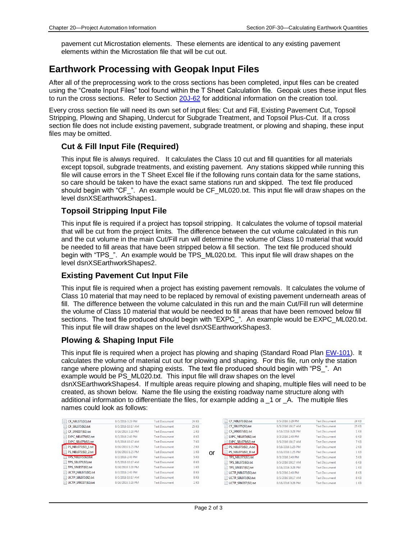pavement cut Microstation elements. These elements are identical to any existing pavement elements within the Microstation file that will be cut out.

## **Earthwork Processing with Geopak Input Files**

After all of the preprocessing work to the cross sections has been completed, input files can be created using the "Create Input Files" tool found within the T Sheet Calculation file. Geopak uses these input files to run the cross sections. Refer to Section [20J-62](20j-62.pdf) for additional information on the creation tool.

Every cross section file will need its own set of input files: Cut and Fill, Existing Pavement Cut, Topsoil Stripping, Plowing and Shaping, Undercut for Subgrade Treatment, and Topsoil Plus-Cut. If a cross section file does not include existing pavement, subgrade treatment, or plowing and shaping, these input files may be omitted.

#### **Cut & Fill Input File (Required)**

This input file is always required. It calculates the Class 10 cut and fill quantities for all materials except topsoil, subgrade treatments, and existing pavement. Any stations skipped while running this file will cause errors in the T Sheet Excel file if the following runs contain data for the same stations, so care should be taken to have the exact same stations run and skipped. The text file produced should begin with "CF\_". An example would be CF\_ML020.txt. This input file will draw shapes on the level dsnXSEarthworkShapes1.

#### **Topsoil Stripping Input File**

This input file is required if a project has topsoil stripping. It calculates the volume of topsoil material that will be cut from the project limits. The difference between the cut volume calculated in this run and the cut volume in the main Cut/Fill run will determine the volume of Class 10 material that would be needed to fill areas that have been stripped below a fill section. The text file produced should begin with "TPS\_". An example would be TPS\_ML020.txt. This input file will draw shapes on the level dsnXSEarthworkShapes2.

#### **Existing Pavement Cut Input File**

This input file is required when a project has existing pavement removals. It calculates the volume of Class 10 material that may need to be replaced by removal of existing pavement underneath areas of fill. The difference between the volume calculated in this run and the main Cut/Fill run will determine the volume of Class 10 material that would be needed to fill areas that have been removed below fill sections. The text file produced should begin with "EXPC\_". An example would be EXPC\_ML020.txt. This input file will draw shapes on the level dsnXSEarthworkShapes3.

#### **Plowing & Shaping Input File**

This input file is required when a project has plowing and shaping (Standard Road Plan [EW-101\)](../SRP/IndividualStandards/eew101.pdf). It calculates the volume of material cut out for plowing and shaping. For this file, run only the station range where plowing and shaping exists. The text file produced should begin with "PS\_". An example would be PS ML020.txt. This input file will draw shapes on the level dsnXSEarthworkShapes4. If multiple areas require plowing and shaping, multiple files will need to be created, as shown below. Name the file using the existing roadway name structure along with additional information to differentiate the files, for example adding a \_1 or \_A. The multiple files names could look as follows:

| CF NBL075(92).txt          | 8/5/2016 3:29 PM  | <b>Text Document</b> | 24 KB        | CF NBL075(92).txt           | 8/5/2016 3:29 PM  | <b>Text Document</b> | 24 KB           |
|----------------------------|-------------------|----------------------|--------------|-----------------------------|-------------------|----------------------|-----------------|
| CF SBL075(92).txt          | 8/5/2016 10:17 AM | <b>Text Document</b> | <b>25 KB</b> | CF SBL075(92).txt           | 8/5/2016 10:17 AM | <b>Text Document</b> | <b>25 KB</b>    |
| CF SRKEST(92).txt          | 8/16/2016 3:28 PM | <b>Text Document</b> | 1 KB         | CF SRKEST(92).txt           | 8/16/2016 3:28 PM | <b>Text Document</b> | 1 <sub>KB</sub> |
| EXPC NBL075(92).bt         | 8/3/2016 2:40 PM  | <b>Text Document</b> | 6 KB         | EXPC NBL075(92).txt         | 8/3/2016 2:40 PM  | <b>Text Document</b> | 6 KB            |
| <b>EXPC SBL075(92).txt</b> | 8/5/2016 10:17 AM | <b>Text Document</b> | 7 KB         | <b>EXPC SBL075(92), bxt</b> | 8/5/2016 10:17 AM | <b>Text Document</b> | 7 KB            |
| PS NBL075(92) 1.bxt        | 8/16/2016 1:25 PM | <b>Text Document</b> | 2 KB         | PS_NBL075(92)_A.bxt         | 8/16/2016 1:25 PM | <b>Text Document</b> | 2 KB            |
| PS NBL075(92) 2.bt         | 8/16/2016 1:25 PM | <b>Text Document</b> | 1 KB         | PS NBL075(92) B.txt<br>or   | 8/16/2016 1:25 PM | <b>Text Document</b> | 1 KB            |
| <b>TIPS NBL0751921.txt</b> | 8/3/2016 2:40 PM  | <b>Text Document</b> | 5 KB         | <b>TPS NBL075(92).txt</b>   | 8/3/2016 2:40 PM  | <b>Text Document</b> | 5 KB            |
| TPS SBL075(92).txt         | 8/5/2016 10:17 AM | <b>Text Document</b> | 6 KB         | $\equiv$ TPS SBL075(92).txt | 8/5/2016 10:17 AM | <b>Text Document</b> | 6 KB            |
| TPS SRKEST(92).txt         | 8/16/2016 3:28 PM | <b>Text Document</b> | 1 KB         | TPS SRKEST(92).txt          | 8/16/2016 3:28 PM | <b>Text Document</b> | 1 KB            |
| UCTP NBL075(92).txt        | 8/3/2016 2:40 PM  | <b>Text Document</b> | 8 KB         | UCTP NBL075(92).txt         | 8/3/2016 2:40 PM  | <b>Text Document</b> | 8 KB            |
| $\Box$ UCTP SBL075(92).txt | 8/5/2016 10:17 AM | <b>Text Document</b> | 8 KB         | UCTP SBL075(92).txt         | 8/5/2016 10:17 AM | <b>Text Document</b> | 8 KB            |
| UCTP SRKEST(92).txt        | 8/16/2016 3:28 PM | <b>Text Document</b> | 1 KB         | UCTP SRKEST(92).txt         | 8/16/2016 3:28 PM | <b>Text Document</b> | 1 KB            |
|                            |                   |                      |              |                             |                   |                      |                 |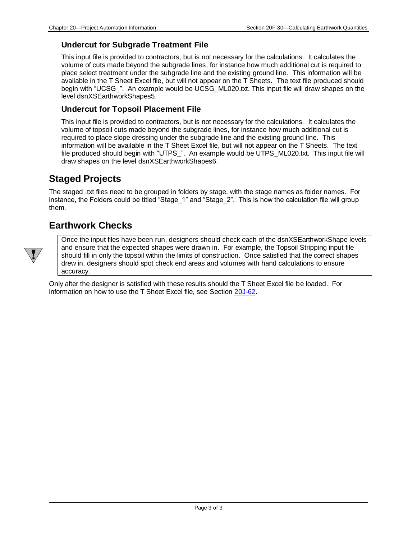#### **Undercut for Subgrade Treatment File**

This input file is provided to contractors, but is not necessary for the calculations*.* It calculates the volume of cuts made beyond the subgrade lines, for instance how much additional cut is required to place select treatment under the subgrade line and the existing ground line. This information will be available in the T Sheet Excel file, but will not appear on the T Sheets. The text file produced should begin with "UCSG\_". An example would be UCSG\_ML020.txt. This input file will draw shapes on the level dsnXSEarthworkShapes5.

#### **Undercut for Topsoil Placement File**

This input file is provided to contractors, but is not necessary for the calculations*.* It calculates the volume of topsoil cuts made beyond the subgrade lines, for instance how much additional cut is required to place slope dressing under the subgrade line and the existing ground line. This information will be available in the T Sheet Excel file, but will not appear on the T Sheets. The text file produced should begin with "UTPS\_". An example would be UTPS\_ML020.txt. This input file will draw shapes on the level dsnXSEarthworkShapes6.

## **Staged Projects**

The staged .txt files need to be grouped in folders by stage, with the stage names as folder names. For instance, the Folders could be titled "Stage\_1" and "Stage\_2". This is how the calculation file will group them.

## **Earthwork Checks**

Once the input files have been run, designers should check each of the dsnXSEarthworkShape levels and ensure that the expected shapes were drawn in. For example, the Topsoil Stripping input file should fill in only the topsoil within the limits of construction. Once satisfied that the correct shapes drew in, designers should spot check end areas and volumes with hand calculations to ensure accuracy.

Only after the designer is satisfied with these results should the T Sheet Excel file be loaded. For information on how to use the T Sheet Excel file, see Section [20J-62.](20J-62.pdf)